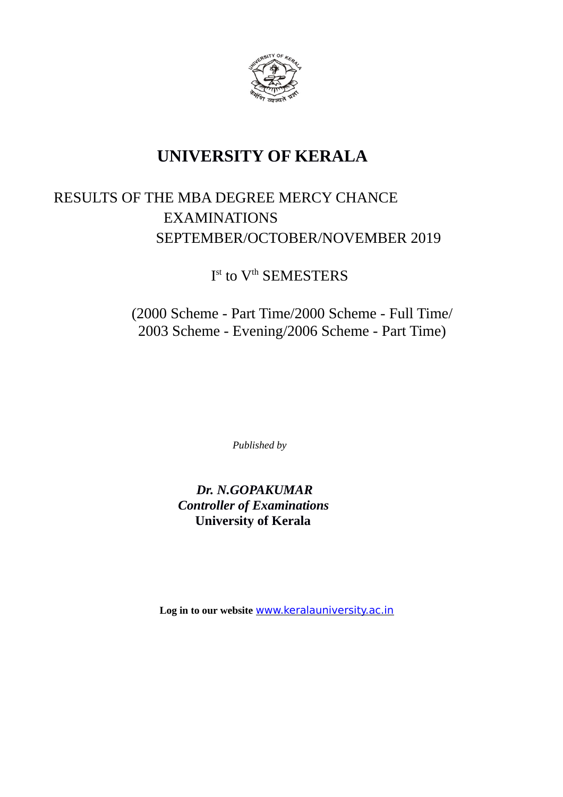

# **UNIVERSITY OF KERALA**

# RESULTS OF THE MBA DEGREE MERCY CHANCE EXAMINATIONS SEPTEMBER/OCTOBER/NOVEMBER 2019

# I<sup>st</sup> to V<sup>th</sup> SEMESTERS

## (2000 Scheme - Part Time/2000 Scheme - Full Time/ 2003 Scheme - Evening/2006 Scheme - Part Time)

*Published by*

## *Dr. N.GOPAKUMAR Controller of Examinations* **University of Kerala**

**Log in to our website** [www.keralauniversity.ac.in](http://www.keralauniversity.ac.in/)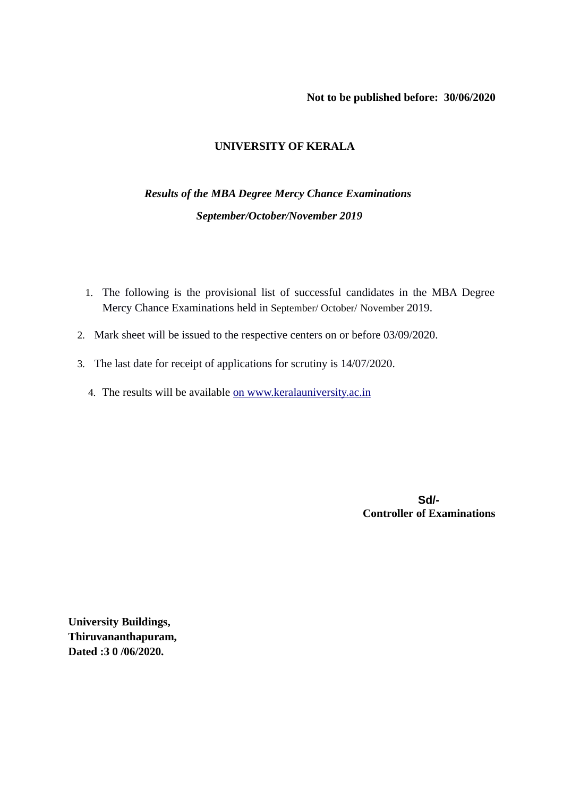#### **Not to be published before: 30/06/2020**

## **UNIVERSITY OF KERALA**

## *Results of the MBA Degree Mercy Chance Examinations September/October/November 2019*

- 1. The following is the provisional list of successful candidates in the MBA Degree Mercy Chance Examinations held in September/ October/ November 2019.
- 2. Mark sheet will be issued to the respective centers on or before 03/09/2020.
- 3. The last date for receipt of applications for scrutiny is 14/07/2020.
	- 4. The results will be available [on www.keralauniversity.ac.in](http://www.keralauniversity.ac.in/)

 **Sd/- Controller of Examinations**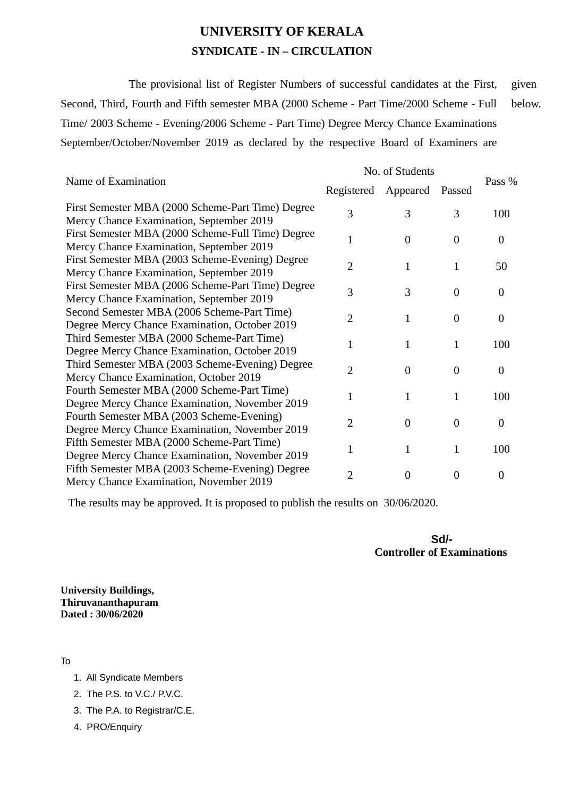## **UNIVERSITY OF KERALA SYNDICATE - IN – CIRCULATION**

The provisional list of Register Numbers of successful candidates at the First, Second, Third, Fourth and Fifth semester MBA (2000 Scheme - Part Time/2000 Scheme - Full Time/ 2003 Scheme - Evening/2006 Scheme - Part Time) Degree Mercy Chance Examinations September/October/November 2019 as declared by the respective Board of Examiners are given below.

| Name of Examination                                                                           | No. of Students |                |                |                  |
|-----------------------------------------------------------------------------------------------|-----------------|----------------|----------------|------------------|
|                                                                                               | Registered      | Appeared       | Passed         | Pass %           |
| First Semester MBA (2000 Scheme-Part Time) Degree<br>Mercy Chance Examination, September 2019 | 3               | 3              | 3              | 100              |
| First Semester MBA (2000 Scheme-Full Time) Degree<br>Mercy Chance Examination, September 2019 | 1               | $\Omega$       | $\theta$       | $\overline{0}$   |
| First Semester MBA (2003 Scheme-Evening) Degree<br>Mercy Chance Examination, September 2019   | $\overline{2}$  | $\mathbf{1}$   | $\mathbf{1}$   | 50               |
| First Semester MBA (2006 Scheme-Part Time) Degree<br>Mercy Chance Examination, September 2019 | 3               | 3              | $\theta$       | $\overline{0}$   |
| Second Semester MBA (2006 Scheme-Part Time)<br>Degree Mercy Chance Examination, October 2019  | $\overline{2}$  | $\mathbf{1}$   | $\theta$       | $\overline{0}$   |
| Third Semester MBA (2000 Scheme-Part Time)<br>Degree Mercy Chance Examination, October 2019   | $\mathbf{1}$    | $\mathbf{1}$   | $\mathbf{1}$   | 100              |
| Third Semester MBA (2003 Scheme-Evening) Degree<br>Mercy Chance Examination, October 2019     | $\overline{2}$  | $\overline{0}$ | $\overline{0}$ | $\boldsymbol{0}$ |
| Fourth Semester MBA (2000 Scheme-Part Time)<br>Degree Mercy Chance Examination, November 2019 | $\mathbf 1$     | $\mathbf{1}$   | $\mathbf{1}$   | 100              |
| Fourth Semester MBA (2003 Scheme-Evening)<br>Degree Mercy Chance Examination, November 2019   | $\overline{2}$  | $\Omega$       | $\theta$       | $\boldsymbol{0}$ |
| Fifth Semester MBA (2000 Scheme-Part Time)<br>Degree Mercy Chance Examination, November 2019  | 1               | $\mathbf{1}$   | $\mathbf{1}$   | 100              |
| Fifth Semester MBA (2003 Scheme-Evening) Degree<br>Mercy Chance Examination, November 2019    | $\overline{2}$  | $\overline{0}$ | $\overline{0}$ | $\boldsymbol{0}$ |

The results may be approved. It is proposed to publish the results on 30/06/2020.

 **Sd/- Controller of Examinations**

**University Buildings, Thiruvananthapuram Dated : 30/06/2020**

To

- 1. All Syndicate Members
- 2. The P.S. to V.C./ P.V.C.
- 3. The P.A. to Registrar/C.E.
- 4. PRO/Enquiry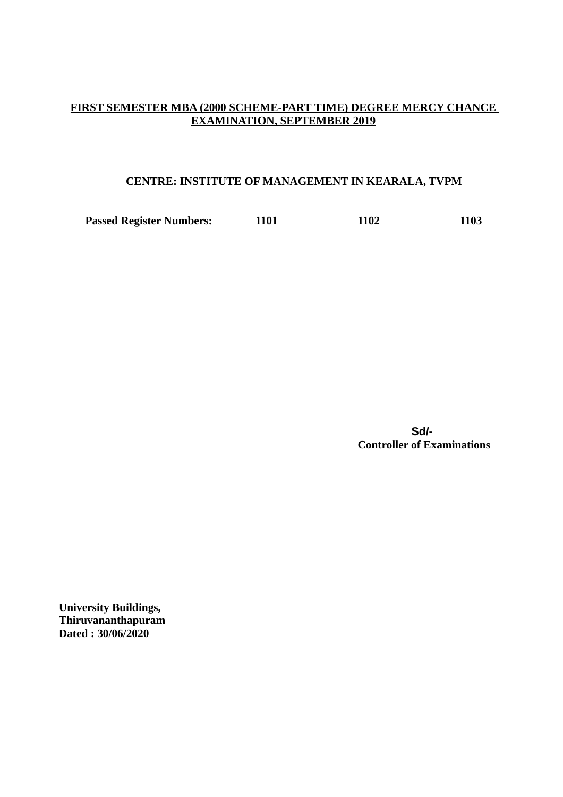### **FIRST SEMESTER MBA (2000 SCHEME-PART TIME) DEGREE MERCY CHANCE EXAMINATION, SEPTEMBER 2019**

### **CENTRE: INSTITUTE OF MANAGEMENT IN KEARALA, TVPM**

**Passed Register Numbers: 1101 1102 1103**

 **Sd/- Controller of Examinations**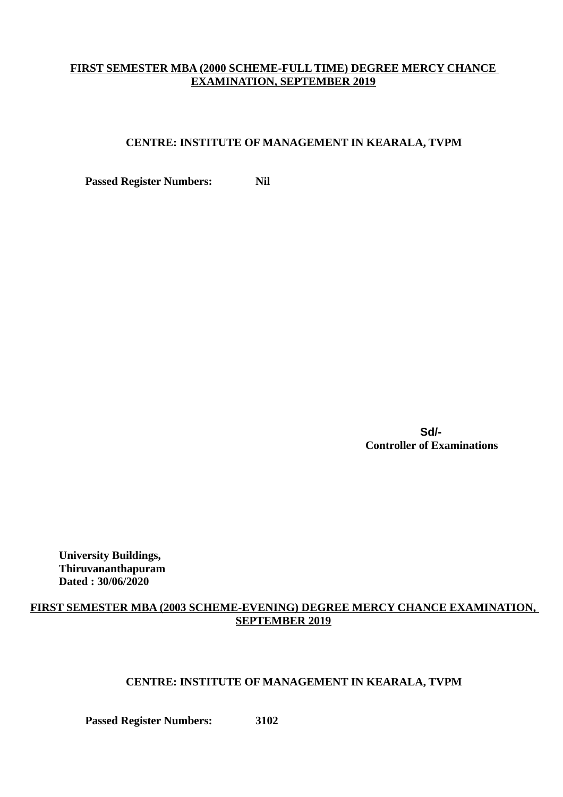## **FIRST SEMESTER MBA (2000 SCHEME-FULL TIME) DEGREE MERCY CHANCE EXAMINATION, SEPTEMBER 2019**

## **CENTRE: INSTITUTE OF MANAGEMENT IN KEARALA, TVPM**

**Passed Register Numbers:** Nil

 **Sd/- Controller of Examinations**

**University Buildings, Thiruvananthapuram Dated : 30/06/2020**

## **FIRST SEMESTER MBA (2003 SCHEME-EVENING) DEGREE MERCY CHANCE EXAMINATION, SEPTEMBER 2019**

### **CENTRE: INSTITUTE OF MANAGEMENT IN KEARALA, TVPM**

**Passed Register Numbers: 3102**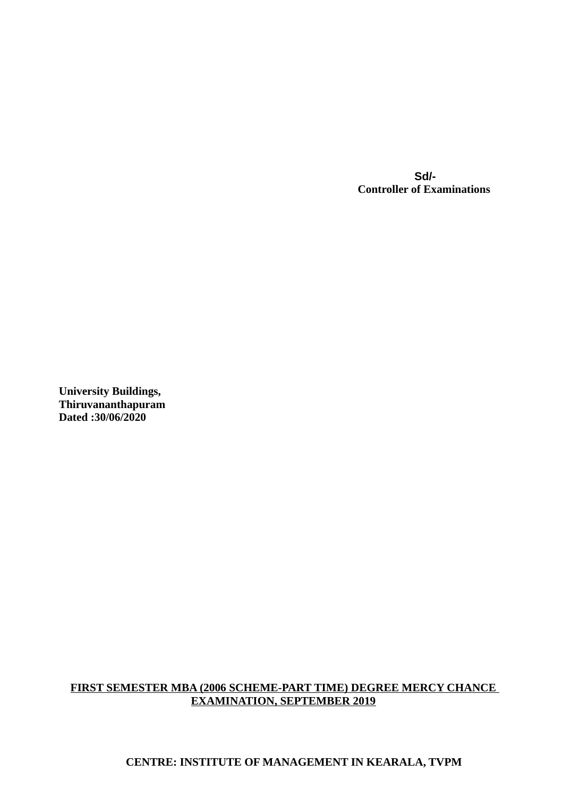**Sd/- Controller of Examinations**

**University Buildings, Thiruvananthapuram Dated :30/06/2020**

## **FIRST SEMESTER MBA (2006 SCHEME-PART TIME) DEGREE MERCY CHANCE EXAMINATION, SEPTEMBER 2019**

## **CENTRE: INSTITUTE OF MANAGEMENT IN KEARALA, TVPM**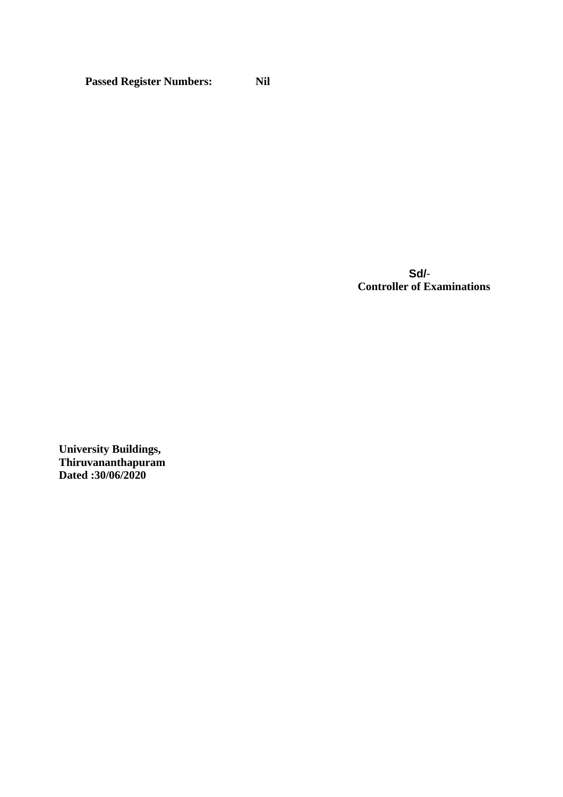**Passed Register Numbers: Nil**

 **Sd/**- **Controller of Examinations**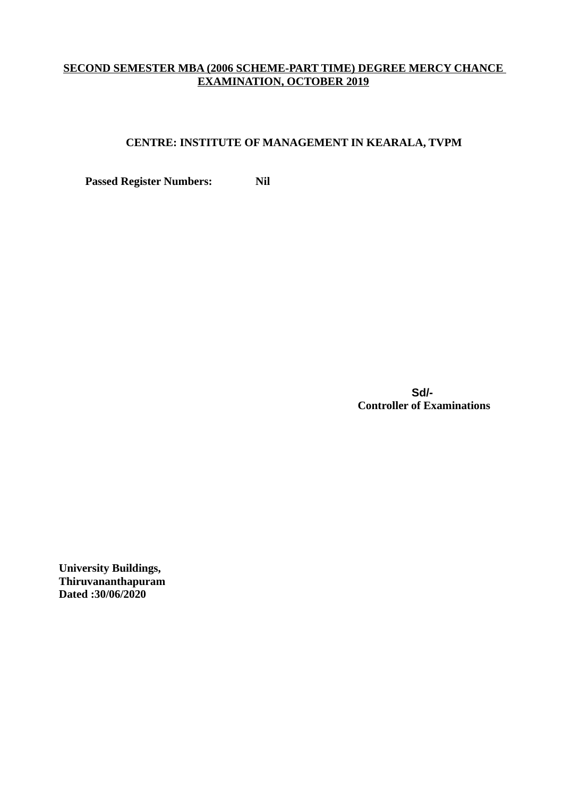## **SECOND SEMESTER MBA (2006 SCHEME-PART TIME) DEGREE MERCY CHANCE EXAMINATION, OCTOBER 2019**

## **CENTRE: INSTITUTE OF MANAGEMENT IN KEARALA, TVPM**

**Passed Register Numbers:** Nil

 **Sd/- Controller of Examinations**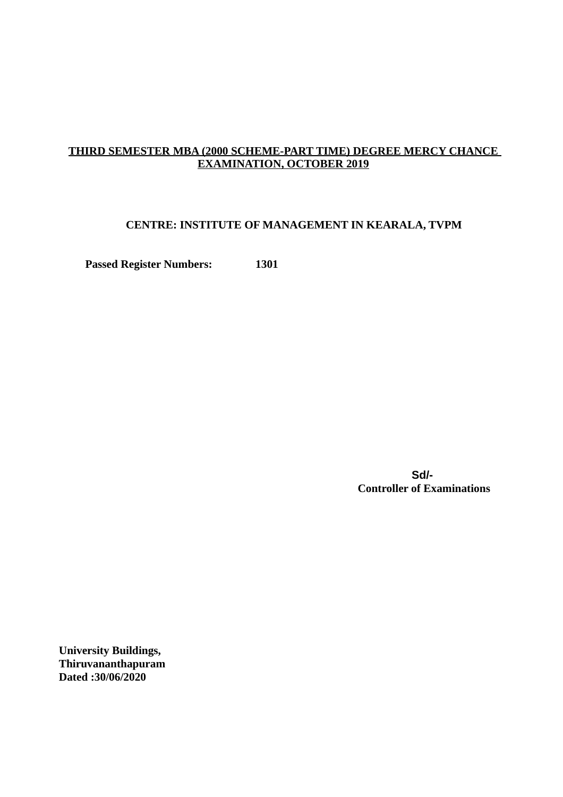## **THIRD SEMESTER MBA (2000 SCHEME-PART TIME) DEGREE MERCY CHANCE EXAMINATION, OCTOBER 2019**

#### **CENTRE: INSTITUTE OF MANAGEMENT IN KEARALA, TVPM**

**Passed Register Numbers: 1301**

 **Sd/- Controller of Examinations**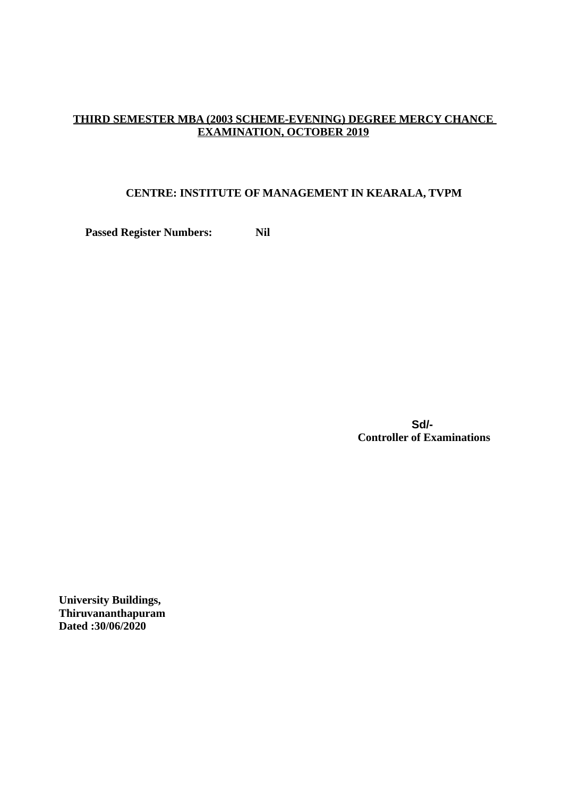## **THIRD SEMESTER MBA (2003 SCHEME-EVENING) DEGREE MERCY CHANCE EXAMINATION, OCTOBER 2019**

## **CENTRE: INSTITUTE OF MANAGEMENT IN KEARALA, TVPM**

**Passed Register Numbers: Nil**

 **Sd/- Controller of Examinations**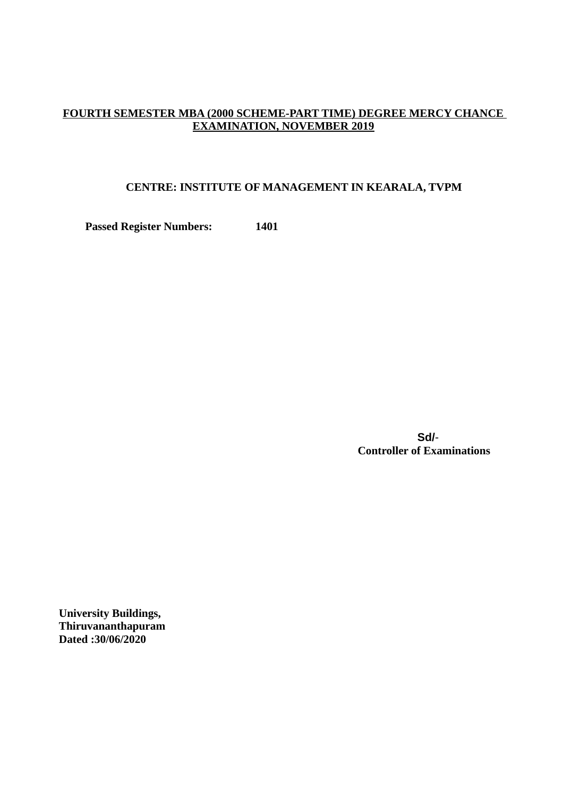## **FOURTH SEMESTER MBA (2000 SCHEME-PART TIME) DEGREE MERCY CHANCE EXAMINATION, NOVEMBER 2019**

#### **CENTRE: INSTITUTE OF MANAGEMENT IN KEARALA, TVPM**

**Passed Register Numbers: 1401**

 **Sd/**- **Controller of Examinations**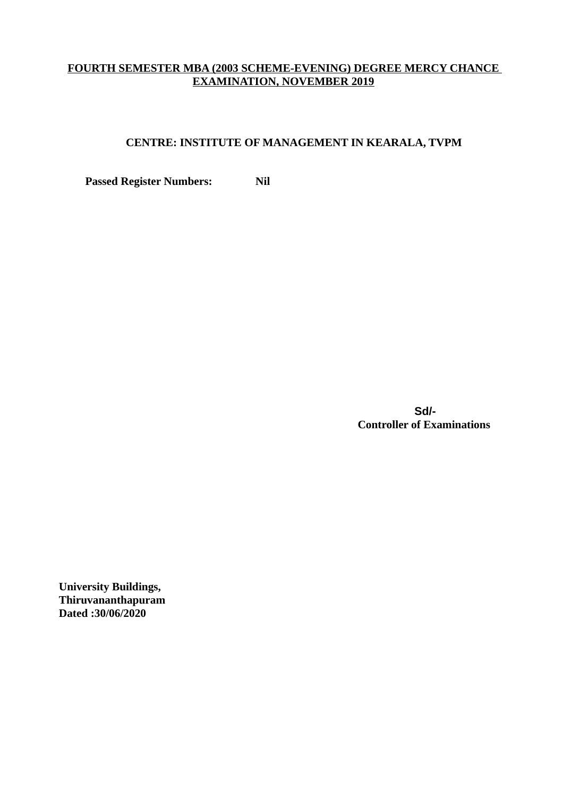## **FOURTH SEMESTER MBA (2003 SCHEME-EVENING) DEGREE MERCY CHANCE EXAMINATION, NOVEMBER 2019**

## **CENTRE: INSTITUTE OF MANAGEMENT IN KEARALA, TVPM**

**Passed Register Numbers:** Nil

 **Sd/- Controller of Examinations**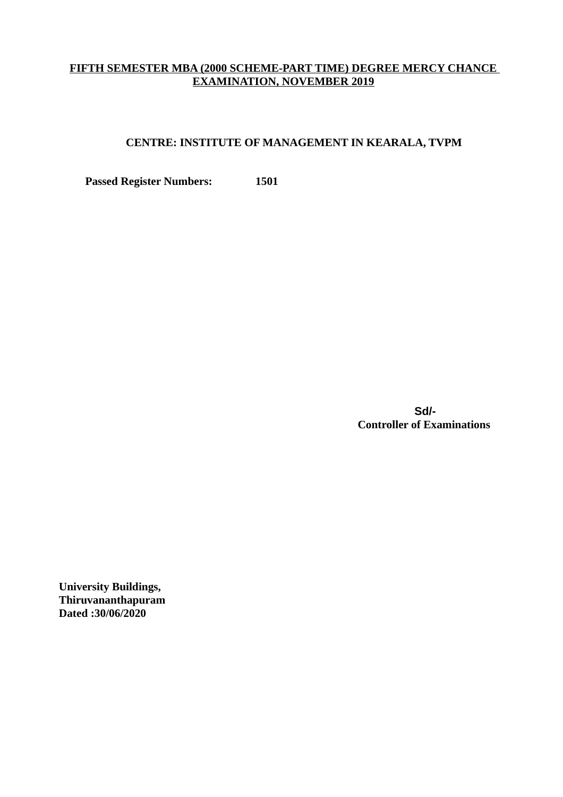## **FIFTH SEMESTER MBA (2000 SCHEME-PART TIME) DEGREE MERCY CHANCE EXAMINATION, NOVEMBER 2019**

### **CENTRE: INSTITUTE OF MANAGEMENT IN KEARALA, TVPM**

**Passed Register Numbers: 1501**

 **Sd/- Controller of Examinations**